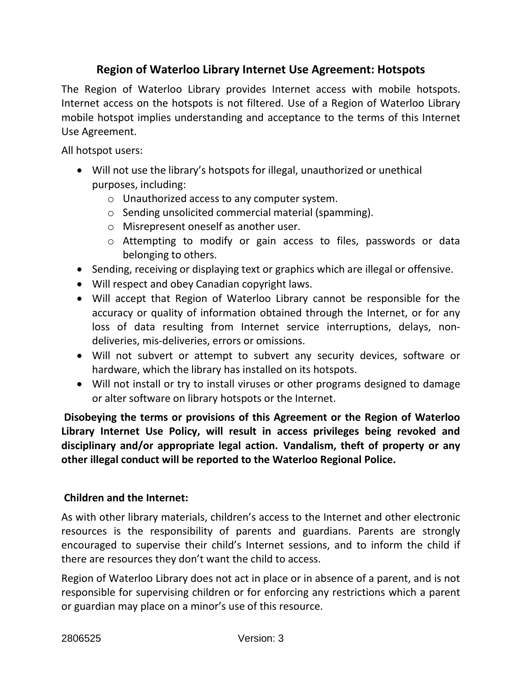## **Region of Waterloo Library Internet Use Agreement: Hotspots**

The Region of Waterloo Library provides Internet access with mobile hotspots. Internet access on the hotspots is not filtered. Use of a Region of Waterloo Library mobile hotspot implies understanding and acceptance to the terms of this Internet Use Agreement.

All hotspot users:

- Will not use the library's hotspots for illegal, unauthorized or unethical purposes, including:
	- o Unauthorized access to any computer system.
	- o Sending unsolicited commercial material (spamming).
	- o Misrepresent oneself as another user.
	- o Attempting to modify or gain access to files, passwords or data belonging to others.
- Sending, receiving or displaying text or graphics which are illegal or offensive.
- Will respect and obey Canadian copyright laws.
- Will accept that Region of Waterloo Library cannot be responsible for the accuracy or quality of information obtained through the Internet, or for any loss of data resulting from Internet service interruptions, delays, nondeliveries, mis-deliveries, errors or omissions.
- Will not subvert or attempt to subvert any security devices, software or hardware, which the library has installed on its hotspots.
- Will not install or try to install viruses or other programs designed to damage or alter software on library hotspots or the Internet.

**Disobeying the terms or provisions of this Agreement or the Region of Waterloo Library Internet Use Policy, will result in access privileges being revoked and disciplinary and/or appropriate legal action.****Vandalism, theft of property or any other illegal conduct will be reported to the Waterloo Regional Police.**

## **Children and the Internet:**

As with other library materials, children's access to the Internet and other electronic resources is the responsibility of parents and guardians. Parents are strongly encouraged to supervise their child's Internet sessions, and to inform the child if there are resources they don't want the child to access.

Region of Waterloo Library does not act in place or in absence of a parent, and is not responsible for supervising children or for enforcing any restrictions which a parent or guardian may place on a minor's use of this resource.